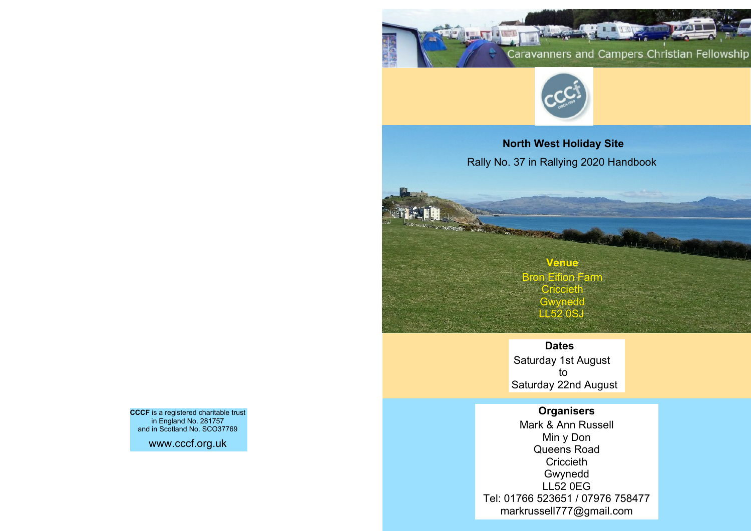



**North West Holiday Site** Rally No. 37 in Rallying 2020 Handbook

# **Venue** Bron Eifion Farm **Criccieth Gwynedd LL52 0SJ**

**AND STREET** 

## **Dates**

Saturday 1st August to Saturday 22nd August

## **Organisers**

Mark & Ann Russell Min y Don Queens Road **Criccieth** Gwynedd LL52 0EG Tel: 01766 523651 / 07976 758477 markrussell777@gmail.com

**CCCF** is a registered charitable trust in England No. 281757 and in Scotland No. SCO37769

www.cccf.org.uk